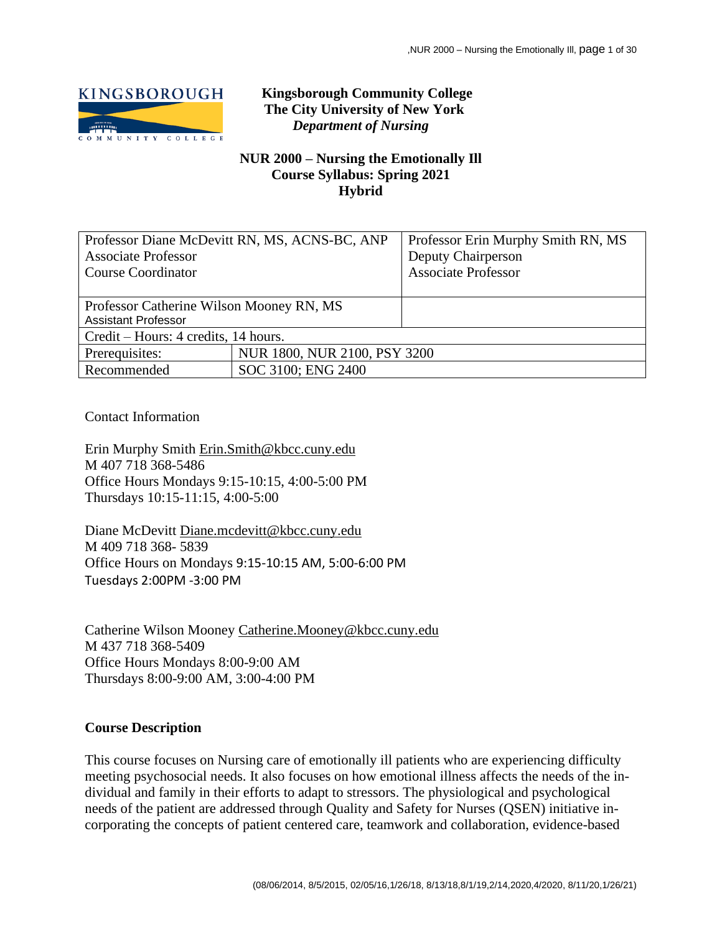

# **Kingsborough Community College The City University of New York** *Department of Nursing*

## **NUR 2000 – Nursing the Emotionally Ill Course Syllabus: Spring 2021 Hybrid**

| Professor Diane McDevitt RN, MS, ACNS-BC, ANP<br><b>Associate Professor</b><br><b>Course Coordinator</b> |                              | Professor Erin Murphy Smith RN, MS<br>Deputy Chairperson<br><b>Associate Professor</b> |  |  |
|----------------------------------------------------------------------------------------------------------|------------------------------|----------------------------------------------------------------------------------------|--|--|
|                                                                                                          |                              |                                                                                        |  |  |
| Professor Catherine Wilson Mooney RN, MS<br><b>Assistant Professor</b>                                   |                              |                                                                                        |  |  |
| Credit – Hours: 4 credits, 14 hours.                                                                     |                              |                                                                                        |  |  |
| Prerequisites:                                                                                           | NUR 1800, NUR 2100, PSY 3200 |                                                                                        |  |  |
| Recommended                                                                                              | SOC 3100; ENG 2400           |                                                                                        |  |  |

Contact Information

Erin Murphy Smith [Erin.Smith@kbcc.cuny.edu](mailto:Erin.Smith@kbcc.cuny.edu) M 407 718 368-5486 Office Hours Mondays 9:15-10:15, 4:00-5:00 PM Thursdays 10:15-11:15, 4:00-5:00

Diane McDevitt [Diane.mcdevitt@kbcc.cuny.edu](mailto:Diane.mcdevitt@kbcc.cuny.edu) M 409 718 368- 5839 Office Hours on Mondays 9:15-10:15 AM, 5:00-6:00 PM Tuesdays 2:00PM -3:00 PM

Catherine Wilson Mooney [Catherine.Mooney@kbcc.cuny.edu](mailto:Catherine.Mooney@kbcc.cuny.edu) M 437 718 368-5409 Office Hours Mondays 8:00-9:00 AM Thursdays 8:00-9:00 AM, 3:00-4:00 PM

#### **Course Description**

This course focuses on Nursing care of emotionally ill patients who are experiencing difficulty meeting psychosocial needs. It also focuses on how emotional illness affects the needs of the individual and family in their efforts to adapt to stressors. The physiological and psychological needs of the patient are addressed through Quality and Safety for Nurses (QSEN) initiative incorporating the concepts of patient centered care, teamwork and collaboration, evidence-based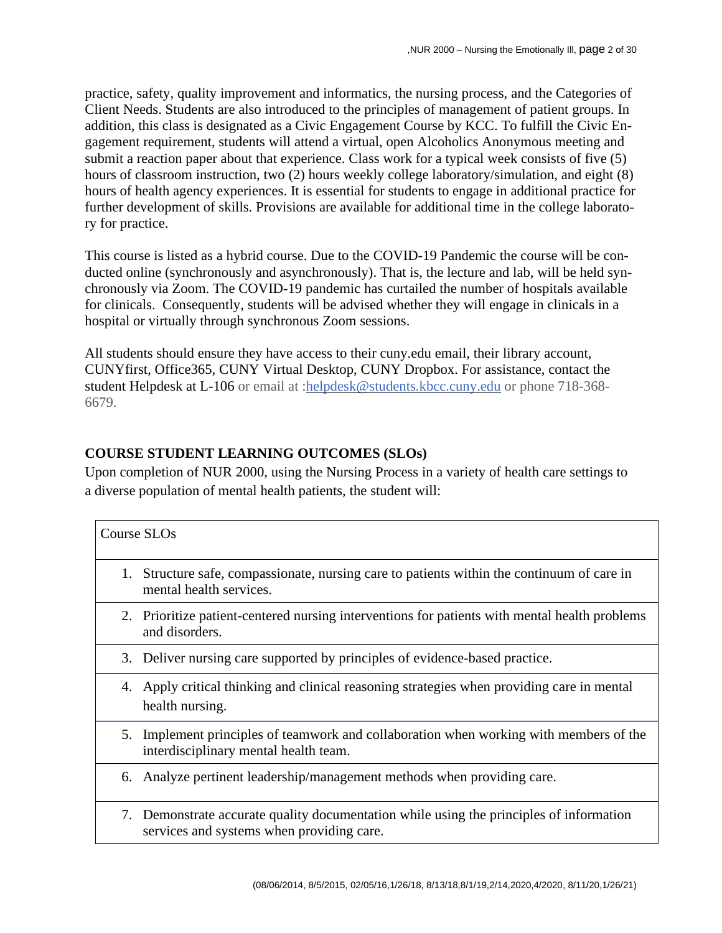practice, safety, quality improvement and informatics, the nursing process, and the Categories of Client Needs. Students are also introduced to the principles of management of patient groups. In addition, this class is designated as a Civic Engagement Course by KCC. To fulfill the Civic Engagement requirement, students will attend a virtual, open Alcoholics Anonymous meeting and submit a reaction paper about that experience. Class work for a typical week consists of five (5) hours of classroom instruction, two (2) hours weekly college laboratory/simulation, and eight (8) hours of health agency experiences. It is essential for students to engage in additional practice for further development of skills. Provisions are available for additional time in the college laboratory for practice.

This course is listed as a hybrid course. Due to the COVID-19 Pandemic the course will be conducted online (synchronously and asynchronously). That is, the lecture and lab, will be held synchronously via Zoom. The COVID-19 pandemic has curtailed the number of hospitals available for clinicals. Consequently, students will be advised whether they will engage in clinicals in a hospital or virtually through synchronous Zoom sessions.

All students should ensure they have access to their cuny.edu email, their library account, CUNYfirst, Office365, CUNY Virtual Desktop, CUNY Dropbox. For assistance, contact the student Helpdesk at L-106 or email at [:helpdesk@students.kbcc.cuny.edu](mailto:helpdesk@students.kbcc.cuny.edu) or phone 718-368- 6679.

# **COURSE STUDENT LEARNING OUTCOMES (SLOs)**

Upon completion of NUR 2000, using the Nursing Process in a variety of health care settings to a diverse population of mental health patients, the student will:

|    | Course SLOs                                                                                                                          |
|----|--------------------------------------------------------------------------------------------------------------------------------------|
| 1. | Structure safe, compassionate, nursing care to patients within the continuum of care in<br>mental health services.                   |
|    | 2. Prioritize patient-centered nursing interventions for patients with mental health problems<br>and disorders.                      |
|    | 3. Deliver nursing care supported by principles of evidence-based practice.                                                          |
|    | 4. Apply critical thinking and clinical reasoning strategies when providing care in mental<br>health nursing.                        |
|    | 5. Implement principles of teamwork and collaboration when working with members of the<br>interdisciplinary mental health team.      |
|    | 6. Analyze pertinent leadership/management methods when providing care.                                                              |
|    | 7. Demonstrate accurate quality documentation while using the principles of information<br>services and systems when providing care. |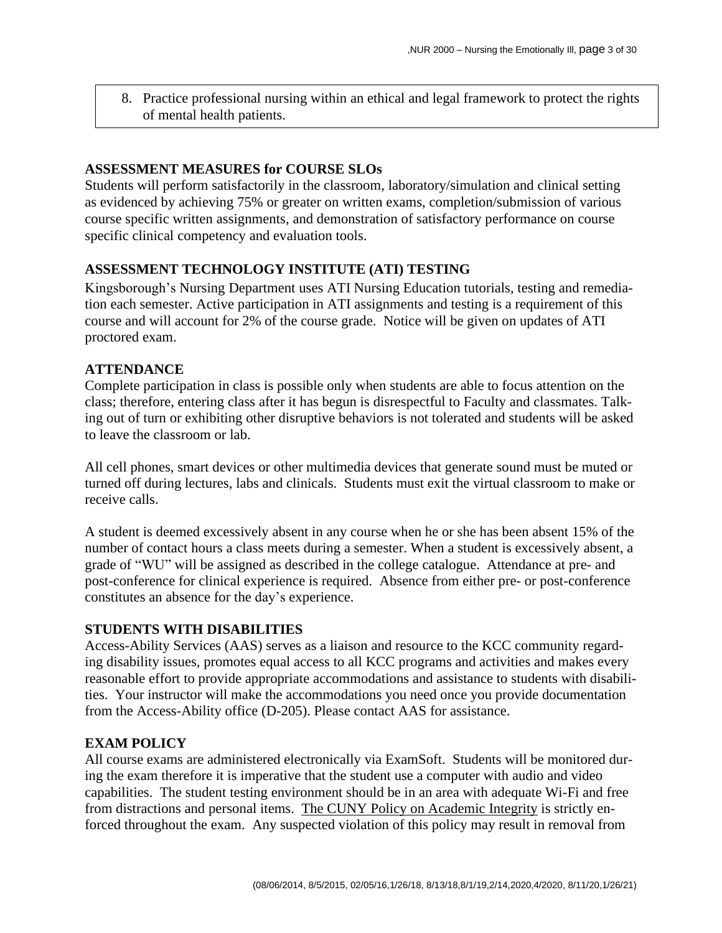8. Practice professional nursing within an ethical and legal framework to protect the rights of mental health patients.

#### **ASSESSMENT MEASURES for COURSE SLOs**

Students will perform satisfactorily in the classroom, laboratory/simulation and clinical setting as evidenced by achieving 75% or greater on written exams, completion/submission of various course specific written assignments, and demonstration of satisfactory performance on course specific clinical competency and evaluation tools.

## **ASSESSMENT TECHNOLOGY INSTITUTE (ATI) TESTING**

Kingsborough's Nursing Department uses ATI Nursing Education tutorials, testing and remediation each semester. Active participation in ATI assignments and testing is a requirement of this course and will account for 2% of the course grade. Notice will be given on updates of ATI proctored exam.

## **ATTENDANCE**

Complete participation in class is possible only when students are able to focus attention on the class; therefore, entering class after it has begun is disrespectful to Faculty and classmates. Talking out of turn or exhibiting other disruptive behaviors is not tolerated and students will be asked to leave the classroom or lab.

All cell phones, smart devices or other multimedia devices that generate sound must be muted or turned off during lectures, labs and clinicals. Students must exit the virtual classroom to make or receive calls.

A student is deemed excessively absent in any course when he or she has been absent 15% of the number of contact hours a class meets during a semester. When a student is excessively absent, a grade of "WU" will be assigned as described in the college catalogue. Attendance at pre- and post-conference for clinical experience is required. Absence from either pre- or post-conference constitutes an absence for the day's experience.

#### **STUDENTS WITH DISABILITIES**

Access-Ability Services (AAS) serves as a liaison and resource to the KCC community regarding disability issues, promotes equal access to all KCC programs and activities and makes every reasonable effort to provide appropriate accommodations and assistance to students with disabilities. Your instructor will make the accommodations you need once you provide documentation from the Access-Ability office (D-205). Please contact AAS for assistance.

#### **EXAM POLICY**

All course exams are administered electronically via ExamSoft. Students will be monitored during the exam therefore it is imperative that the student use a computer with audio and video capabilities. The student testing environment should be in an area with adequate Wi-Fi and free from distractions and personal items. The CUNY Policy on [Academic](https://www.kbcc.cuny.edu/faculty_staff/documents/Academic_Integrity_Policy.pdf#search=academic%20integrity%20policy%20) Integrity is strictly enforced throughout the exam. Any suspected violation of this policy may result in removal from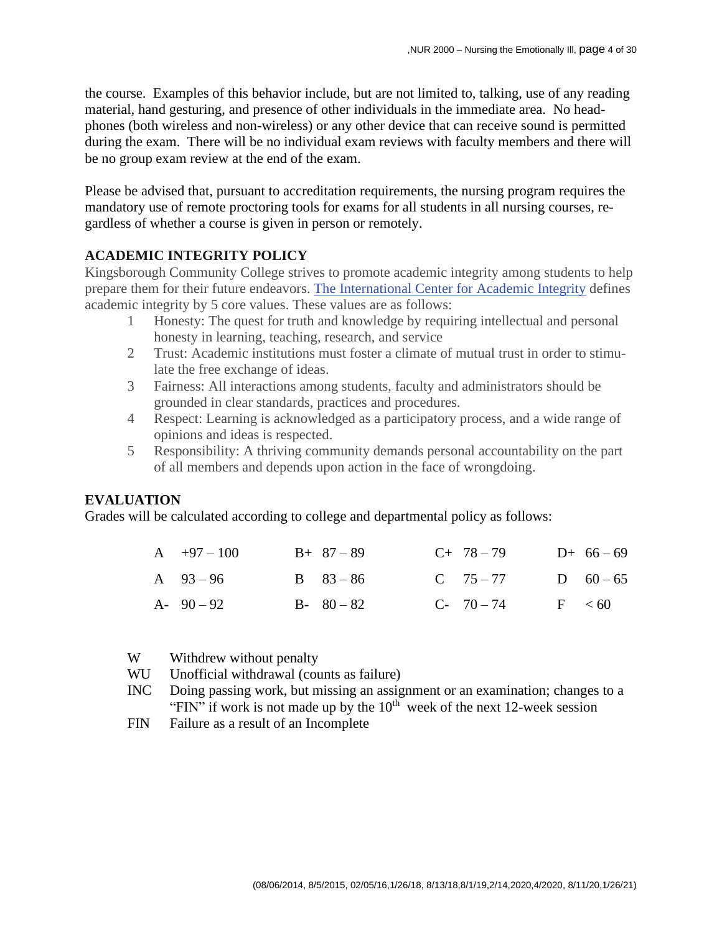the course. Examples of this behavior include, but are not limited to, talking, use of any reading material, hand gesturing, and presence of other individuals in the immediate area. No headphones (both wireless and non-wireless) or any other device that can receive sound is permitted during the exam. There will be no individual exam reviews with faculty members and there will be no group exam review at the end of the exam.

Please be advised that, pursuant to accreditation requirements, the nursing program requires the mandatory use of remote proctoring tools for exams for all students in all nursing courses, regardless of whether a course is given in person or remotely.

#### **ACADEMIC INTEGRITY POLICY**

Kingsborough Community College strives to promote academic integrity among students to help prepare them for their future endeavors. The [International](https://academicintegrity.org/) Center for Academic Integrity defines academic integrity by 5 core values. These values are as follows:

- 1 Honesty: The quest for truth and knowledge by requiring intellectual and personal honesty in learning, teaching, research, and service
- 2 Trust: Academic institutions must foster a climate of mutual trust in order to stimulate the free exchange of ideas.
- 3 Fairness: All interactions among students, faculty and administrators should be grounded in clear standards, practices and procedures.
- 4 Respect: Learning is acknowledged as a participatory process, and a wide range of opinions and ideas is respected.
- 5 Responsibility: A thriving community demands personal accountability on the part of all members and depends upon action in the face of wrongdoing.

#### **EVALUATION**

Grades will be calculated according to college and departmental policy as follows:

| $A +97 - 100$ | $B+ 87-89$    | $C+ 78-79$     | $D+ 66-69$  |
|---------------|---------------|----------------|-------------|
| A $93-96$     | $B = 83 - 86$ | $C \t 75 - 77$ | D $60-65$   |
| $A - 90 - 92$ | $B - 80 - 82$ | $C-70-74$      | $F \leq 60$ |

- W Withdrew without penalty
- WU Unofficial withdrawal (counts as failure)
- INC Doing passing work, but missing an assignment or an examination; changes to a "FIN" if work is not made up by the  $10<sup>th</sup>$  week of the next 12-week session
- FIN Failure as a result of an Incomplete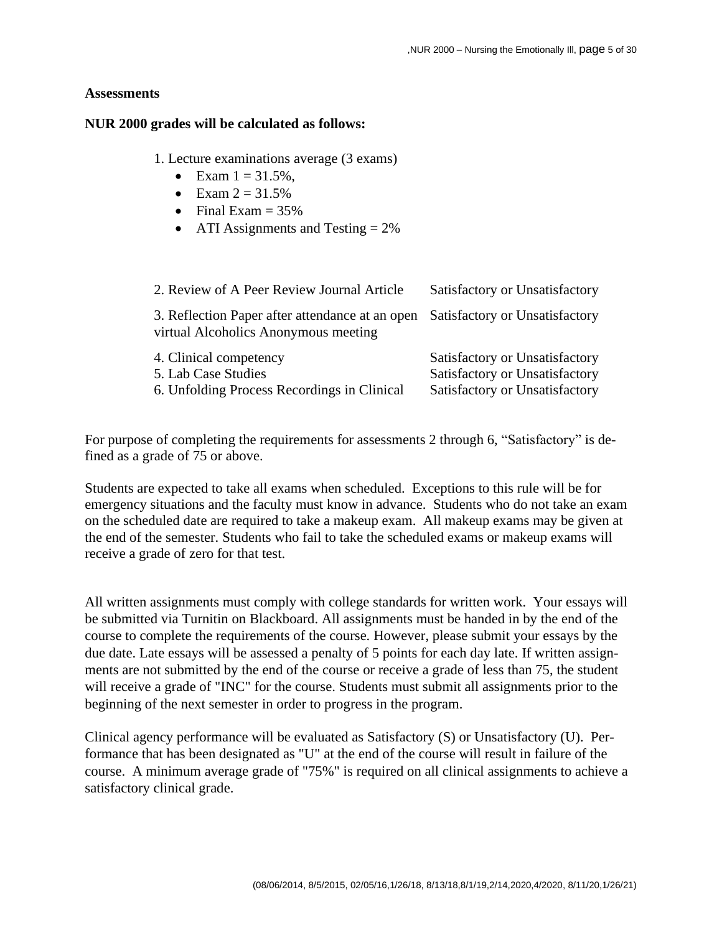#### **Assessments**

#### **NUR 2000 grades will be calculated as follows:**

1. Lecture examinations average (3 exams)

- Exam  $1 = 31.5\%$ ,
- Exam  $2 = 31.5%$
- Final Exam  $= 35\%$
- ATI Assignments and Testing  $= 2\%$

| 2. Review of A Peer Review Journal Article                                                   | Satisfactory or Unsatisfactory                                                                     |
|----------------------------------------------------------------------------------------------|----------------------------------------------------------------------------------------------------|
| 3. Reflection Paper after attendance at an open<br>virtual Alcoholics Anonymous meeting      | Satisfactory or Unsatisfactory                                                                     |
| 4. Clinical competency<br>5. Lab Case Studies<br>6. Unfolding Process Recordings in Clinical | Satisfactory or Unsatisfactory<br>Satisfactory or Unsatisfactory<br>Satisfactory or Unsatisfactory |

For purpose of completing the requirements for assessments 2 through 6, "Satisfactory" is defined as a grade of 75 or above.

Students are expected to take all exams when scheduled. Exceptions to this rule will be for emergency situations and the faculty must know in advance. Students who do not take an exam on the scheduled date are required to take a makeup exam. All makeup exams may be given at the end of the semester. Students who fail to take the scheduled exams or makeup exams will receive a grade of zero for that test.

All written assignments must comply with college standards for written work. Your essays will be submitted via Turnitin on Blackboard. All assignments must be handed in by the end of the course to complete the requirements of the course. However, please submit your essays by the due date. Late essays will be assessed a penalty of 5 points for each day late. If written assignments are not submitted by the end of the course or receive a grade of less than 75, the student will receive a grade of "INC" for the course. Students must submit all assignments prior to the beginning of the next semester in order to progress in the program.

Clinical agency performance will be evaluated as Satisfactory (S) or Unsatisfactory (U). Performance that has been designated as "U" at the end of the course will result in failure of the course. A minimum average grade of "75%" is required on all clinical assignments to achieve a satisfactory clinical grade.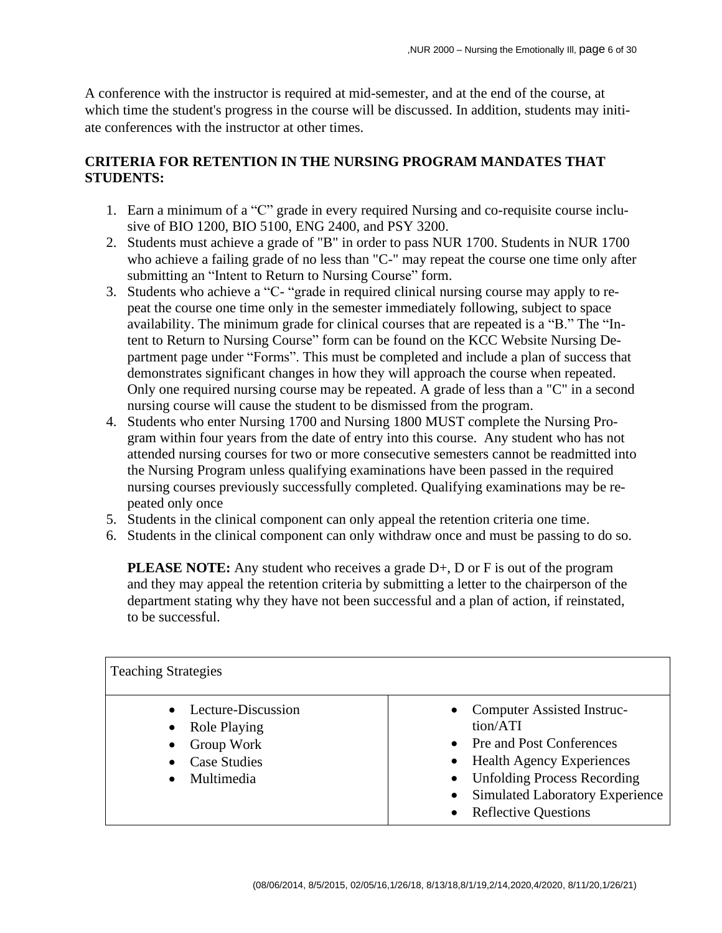A conference with the instructor is required at mid-semester, and at the end of the course, at which time the student's progress in the course will be discussed. In addition, students may initiate conferences with the instructor at other times.

# **CRITERIA FOR RETENTION IN THE NURSING PROGRAM MANDATES THAT STUDENTS:**

- 1. Earn a minimum of a "C" grade in every required Nursing and co-requisite course inclusive of BIO 1200, BIO 5100, ENG 2400, and PSY 3200.
- 2. Students must achieve a grade of "B" in order to pass NUR 1700. Students in NUR 1700 who achieve a failing grade of no less than "C-" may repeat the course one time only after submitting an "Intent to Return to Nursing Course" form.
- 3. Students who achieve a "C- "grade in required clinical nursing course may apply to repeat the course one time only in the semester immediately following, subject to space availability. The minimum grade for clinical courses that are repeated is a "B." The "Intent to Return to Nursing Course" form can be found on the KCC Website Nursing Department page under "Forms". This must be completed and include a plan of success that demonstrates significant changes in how they will approach the course when repeated. Only one required nursing course may be repeated. A grade of less than a "C" in a second nursing course will cause the student to be dismissed from the program.
- 4. Students who enter Nursing 1700 and Nursing 1800 MUST complete the Nursing Program within four years from the date of entry into this course. Any student who has not attended nursing courses for two or more consecutive semesters cannot be readmitted into the Nursing Program unless qualifying examinations have been passed in the required nursing courses previously successfully completed. Qualifying examinations may be repeated only once
- 5. Students in the clinical component can only appeal the retention criteria one time.
- 6. Students in the clinical component can only withdraw once and must be passing to do so.

**PLEASE NOTE:** Any student who receives a grade D+, D or F is out of the program and they may appeal the retention criteria by submitting a letter to the chairperson of the department stating why they have not been successful and a plan of action, if reinstated, to be successful.

| <b>Teaching Strategies</b>                                                                                                          |                                                                                                                                                                                                                              |
|-------------------------------------------------------------------------------------------------------------------------------------|------------------------------------------------------------------------------------------------------------------------------------------------------------------------------------------------------------------------------|
| Lecture-Discussion<br>$\bullet$<br><b>Role Playing</b><br>$\bullet$<br>Group Work<br><b>Case Studies</b><br>Multimedia<br>$\bullet$ | <b>Computer Assisted Instruc-</b><br>tion/ATI<br>Pre and Post Conferences<br><b>Health Agency Experiences</b><br><b>Unfolding Process Recording</b><br><b>Simulated Laboratory Experience</b><br><b>Reflective Questions</b> |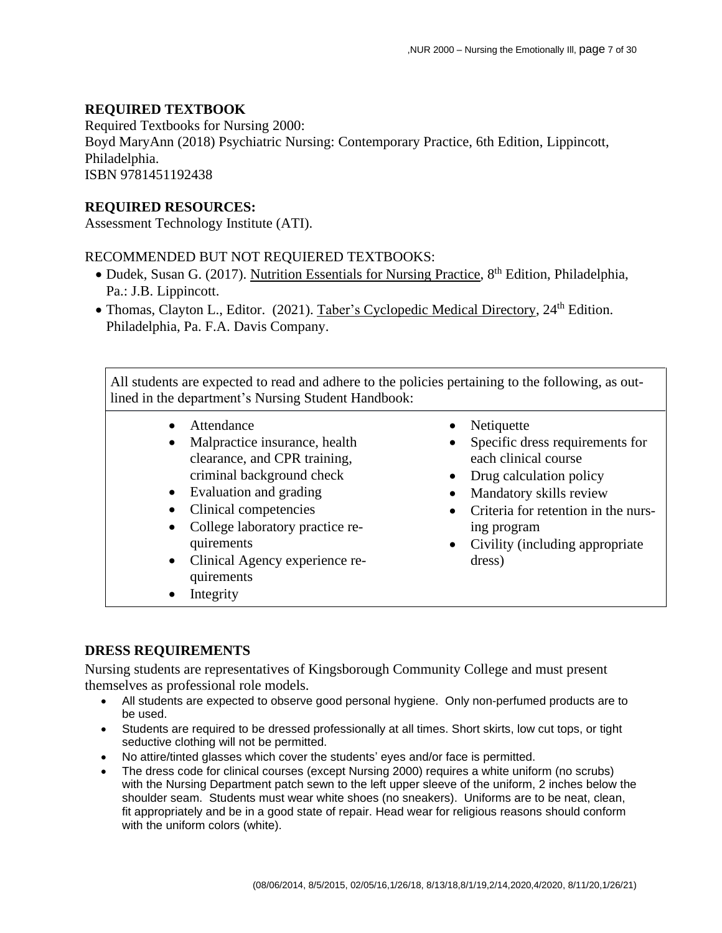## **REQUIRED TEXTBOOK**

Required Textbooks for Nursing 2000: Boyd MaryAnn (2018) Psychiatric Nursing: Contemporary Practice, 6th Edition, Lippincott, Philadelphia. ISBN 9781451192438

## **REQUIRED RESOURCES:**

Assessment Technology Institute (ATI).

## RECOMMENDED BUT NOT REQUIERED TEXTBOOKS:

- · Dudek, Susan G. (2017). Nutrition Essentials for Nursing Practice, 8<sup>th</sup> Edition, Philadelphia, Pa.: J.B. Lippincott.
- Thomas, Clayton L., Editor. (2021). Taber's Cyclopedic Medical Directory, 24<sup>th</sup> Edition. Philadelphia, Pa. F.A. Davis Company.

All students are expected to read and adhere to the policies pertaining to the following, as outlined in the department's Nursing Student Handbook:

- Attendance
	- Malpractice insurance, health clearance, and CPR training, criminal background check
	- Evaluation and grading
	- Clinical competencies
	- College laboratory practice requirements
	- Clinical Agency experience requirements
- Integrity
- Netiquette
- Specific dress requirements for each clinical course
- Drug calculation policy
- Mandatory skills review
- Criteria for retention in the nursing program
- Civility (including appropriate dress)

## **DRESS REQUIREMENTS**

Nursing students are representatives of Kingsborough Community College and must present themselves as professional role models.

- All students are expected to observe good personal hygiene. Only non-perfumed products are to be used.
- Students are required to be dressed professionally at all times. Short skirts, low cut tops, or tight seductive clothing will not be permitted.
- No attire/tinted glasses which cover the students' eyes and/or face is permitted.
- The dress code for clinical courses (except Nursing 2000) requires a white uniform (no scrubs) with the Nursing Department patch sewn to the left upper sleeve of the uniform, 2 inches below the shoulder seam. Students must wear white shoes (no sneakers). Uniforms are to be neat, clean, fit appropriately and be in a good state of repair. Head wear for religious reasons should conform with the uniform colors (white).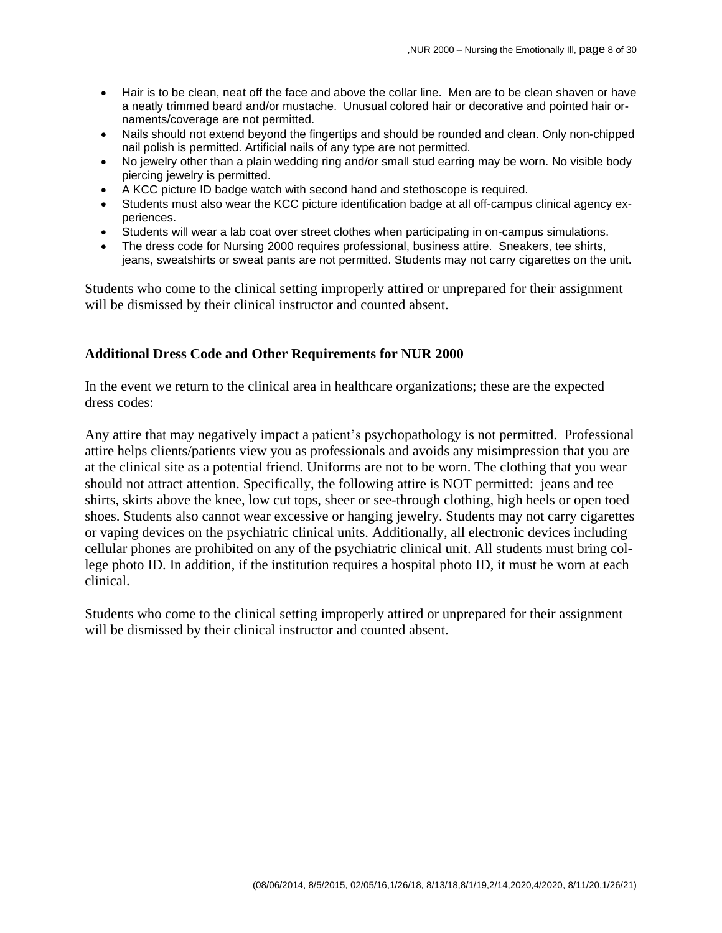- Hair is to be clean, neat off the face and above the collar line. Men are to be clean shaven or have a neatly trimmed beard and/or mustache. Unusual colored hair or decorative and pointed hair ornaments/coverage are not permitted.
- Nails should not extend beyond the fingertips and should be rounded and clean. Only non-chipped nail polish is permitted. Artificial nails of any type are not permitted.
- No jewelry other than a plain wedding ring and/or small stud earring may be worn. No visible body piercing jewelry is permitted.
- A KCC picture ID badge watch with second hand and stethoscope is required.
- Students must also wear the KCC picture identification badge at all off-campus clinical agency experiences.
- Students will wear a lab coat over street clothes when participating in on-campus simulations.
- The dress code for Nursing 2000 requires professional, business attire. Sneakers, tee shirts, jeans, sweatshirts or sweat pants are not permitted. Students may not carry cigarettes on the unit.

Students who come to the clinical setting improperly attired or unprepared for their assignment will be dismissed by their clinical instructor and counted absent.

#### **Additional Dress Code and Other Requirements for NUR 2000**

In the event we return to the clinical area in healthcare organizations; these are the expected dress codes:

Any attire that may negatively impact a patient's psychopathology is not permitted. Professional attire helps clients/patients view you as professionals and avoids any misimpression that you are at the clinical site as a potential friend. Uniforms are not to be worn. The clothing that you wear should not attract attention. Specifically, the following attire is NOT permitted: jeans and tee shirts, skirts above the knee, low cut tops, sheer or see-through clothing, high heels or open toed shoes. Students also cannot wear excessive or hanging jewelry. Students may not carry cigarettes or vaping devices on the psychiatric clinical units. Additionally, all electronic devices including cellular phones are prohibited on any of the psychiatric clinical unit. All students must bring college photo ID. In addition, if the institution requires a hospital photo ID, it must be worn at each clinical.

Students who come to the clinical setting improperly attired or unprepared for their assignment will be dismissed by their clinical instructor and counted absent.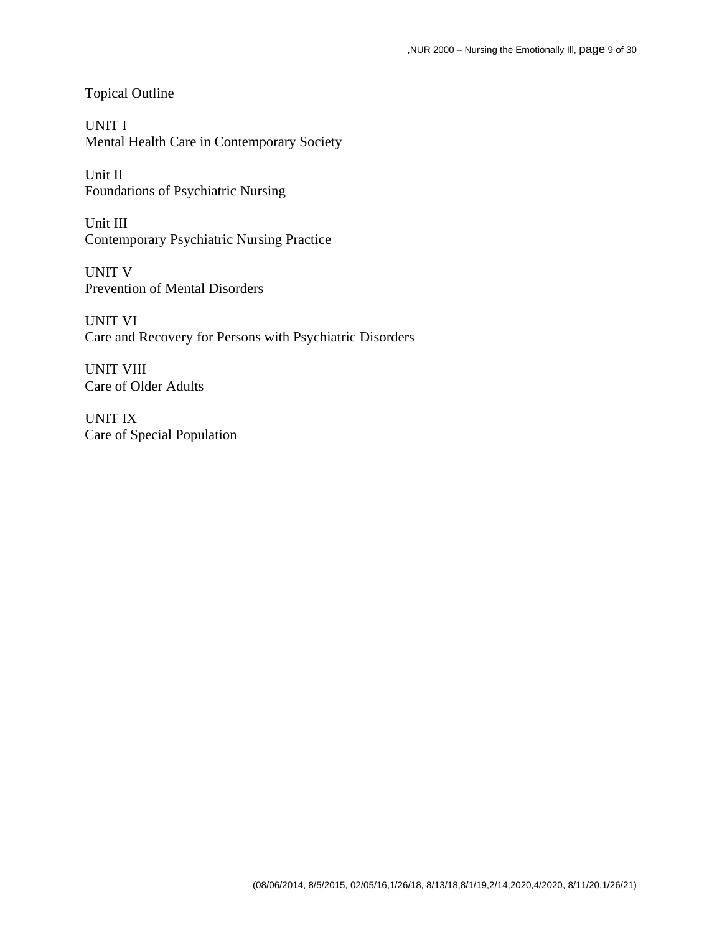Topical Outline

UNIT I Mental Health Care in Contemporary Society

Unit II Foundations of Psychiatric Nursing

Unit III Contemporary Psychiatric Nursing Practice

UNIT V Prevention of Mental Disorders

UNIT VI Care and Recovery for Persons with Psychiatric Disorders

UNIT VIII Care of Older Adults

UNIT IX Care of Special Population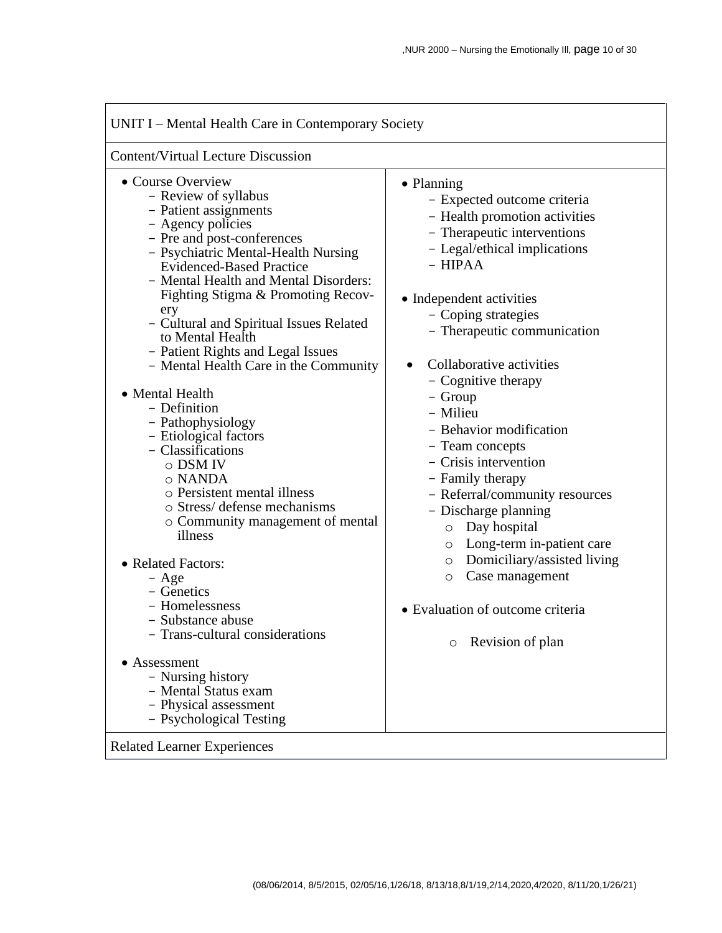| <b>Content/Virtual Lecture Discussion</b>                                                                                                                                                                                                                                                                                                                                                                                                                                                                                                                                                                                                                                                                                                                                                                                                                                                                           |                                                                                                                                                                                                                                                                                                                                                                                                                                                                                                                                                                                                                                                                                           |
|---------------------------------------------------------------------------------------------------------------------------------------------------------------------------------------------------------------------------------------------------------------------------------------------------------------------------------------------------------------------------------------------------------------------------------------------------------------------------------------------------------------------------------------------------------------------------------------------------------------------------------------------------------------------------------------------------------------------------------------------------------------------------------------------------------------------------------------------------------------------------------------------------------------------|-------------------------------------------------------------------------------------------------------------------------------------------------------------------------------------------------------------------------------------------------------------------------------------------------------------------------------------------------------------------------------------------------------------------------------------------------------------------------------------------------------------------------------------------------------------------------------------------------------------------------------------------------------------------------------------------|
| • Course Overview<br>- Review of syllabus<br>- Patient assignments<br>- Agency policies<br>- Pre and post-conferences<br>- Psychiatric Mental-Health Nursing<br><b>Evidenced-Based Practice</b><br>- Mental Health and Mental Disorders:<br>Fighting Stigma & Promoting Recov-<br>ery<br>- Cultural and Spiritual Issues Related<br>to Mental Health<br>- Patient Rights and Legal Issues<br>- Mental Health Care in the Community<br>• Mental Health<br>- Definition<br>- Pathophysiology<br>- Etiological factors<br>- Classifications<br>o DSM IV<br>o NANDA<br>o Persistent mental illness<br>o Stress/ defense mechanisms<br>• Community management of mental<br>illness<br>• Related Factors:<br>- Age<br>- Genetics<br>- Homelessness<br>- Substance abuse<br>Trans-cultural considerations<br>• Assessment<br>- Nursing history<br>- Mental Status exam<br>- Physical assessment<br>- Psychological Testing | • Planning<br>- Expected outcome criteria<br>- Health promotion activities<br>- Therapeutic interventions<br>- Legal/ethical implications<br>$-$ HIPAA<br>• Independent activities<br>- Coping strategies<br>- Therapeutic communication<br>Collaborative activities<br>$\bullet$<br>- Cognitive therapy<br>- Group<br>- Milieu<br>- Behavior modification<br>- Team concepts<br>- Crisis intervention<br>- Family therapy<br>- Referral/community resources<br>- Discharge planning<br>Day hospital<br>$\circ$<br>o Long-term in-patient care<br>Domiciliary/assisted living<br>$\circ$<br>Case management<br>$\circ$<br>• Evaluation of outcome criteria<br>Revision of plan<br>$\circ$ |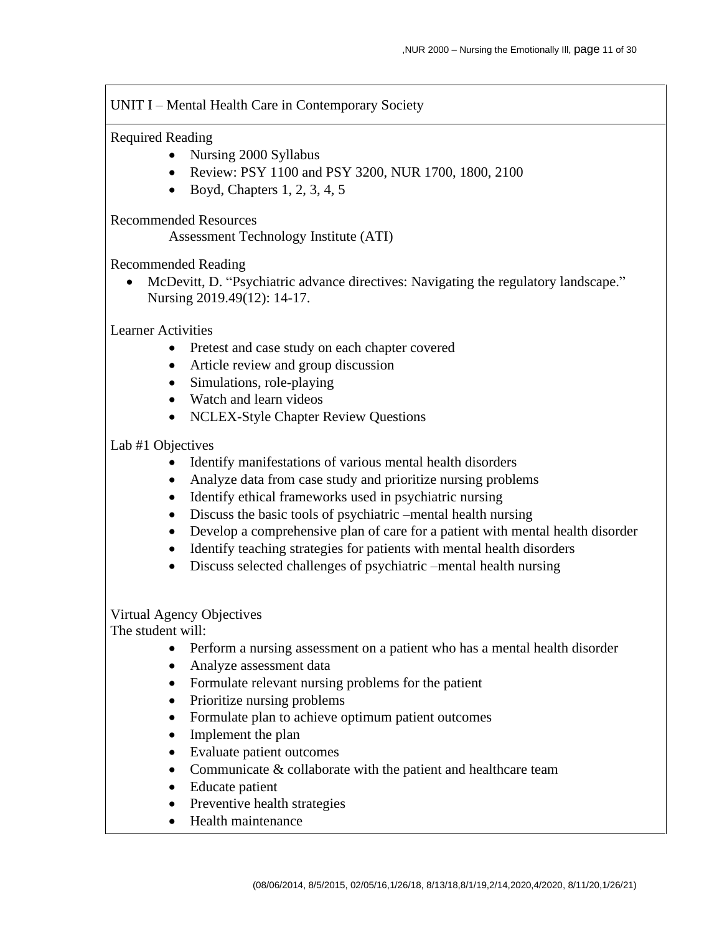## UNIT I – Mental Health Care in Contemporary Society

## Required Reading

- Nursing 2000 Syllabus
- Review: PSY 1100 and PSY 3200, NUR 1700, 1800, 2100
- Boyd, Chapters  $1, 2, 3, 4, 5$

Recommended Resources

Assessment Technology Institute (ATI)

Recommended Reading

• McDevitt, D. "Psychiatric advance directives: Navigating the regulatory landscape." Nursing 2019.49(12): 14-17.

Learner Activities

- Pretest and case study on each chapter covered
- Article review and group discussion
- Simulations, role-playing
- Watch and learn videos
- NCLEX-Style Chapter Review Questions

## Lab #1 Objectives

- Identify manifestations of various mental health disorders
- Analyze data from case study and prioritize nursing problems
- Identify ethical frameworks used in psychiatric nursing
- Discuss the basic tools of psychiatric –mental health nursing
- Develop a comprehensive plan of care for a patient with mental health disorder
- Identify teaching strategies for patients with mental health disorders
- Discuss selected challenges of psychiatric –mental health nursing

# Virtual Agency Objectives

- Perform a nursing assessment on a patient who has a mental health disorder
- Analyze assessment data
- Formulate relevant nursing problems for the patient
- Prioritize nursing problems
- Formulate plan to achieve optimum patient outcomes
- Implement the plan
- Evaluate patient outcomes
- Communicate & collaborate with the patient and healthcare team
- Educate patient
- Preventive health strategies
- Health maintenance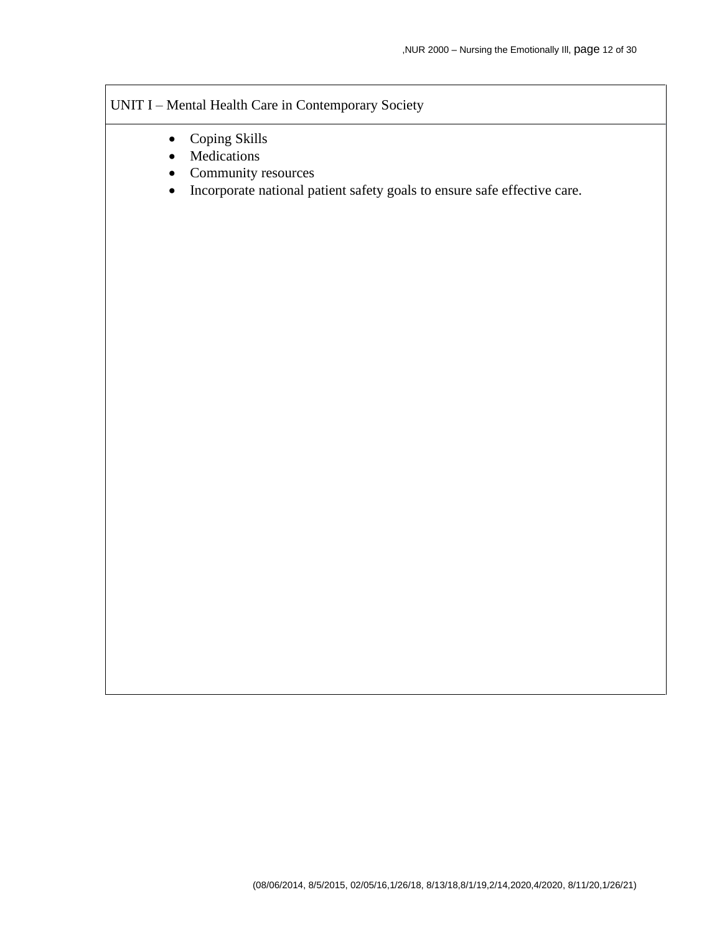# UNIT I – Mental Health Care in Contemporary Society

- Coping Skills
- Medications
- Community resources
- Incorporate national patient safety goals to ensure safe effective care.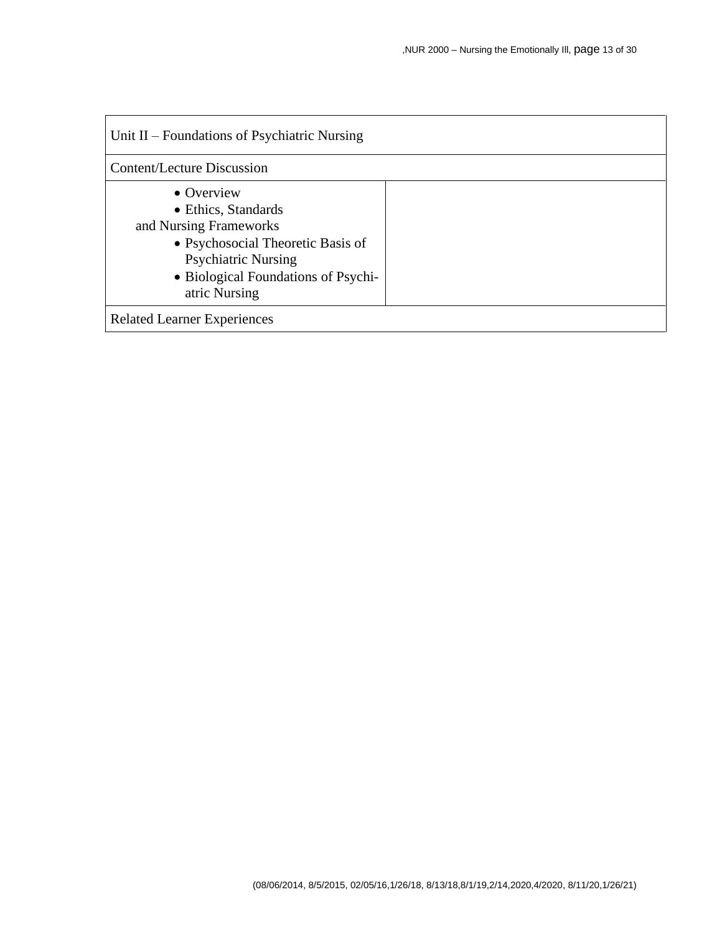| Unit II – Foundations of Psychiatric Nursing                                                                                                                                           |  |  |  |
|----------------------------------------------------------------------------------------------------------------------------------------------------------------------------------------|--|--|--|
| <b>Content/Lecture Discussion</b>                                                                                                                                                      |  |  |  |
| • Overview<br>• Ethics, Standards<br>and Nursing Frameworks<br>• Psychosocial Theoretic Basis of<br><b>Psychiatric Nursing</b><br>• Biological Foundations of Psychi-<br>atric Nursing |  |  |  |
| <b>Related Learner Experiences</b>                                                                                                                                                     |  |  |  |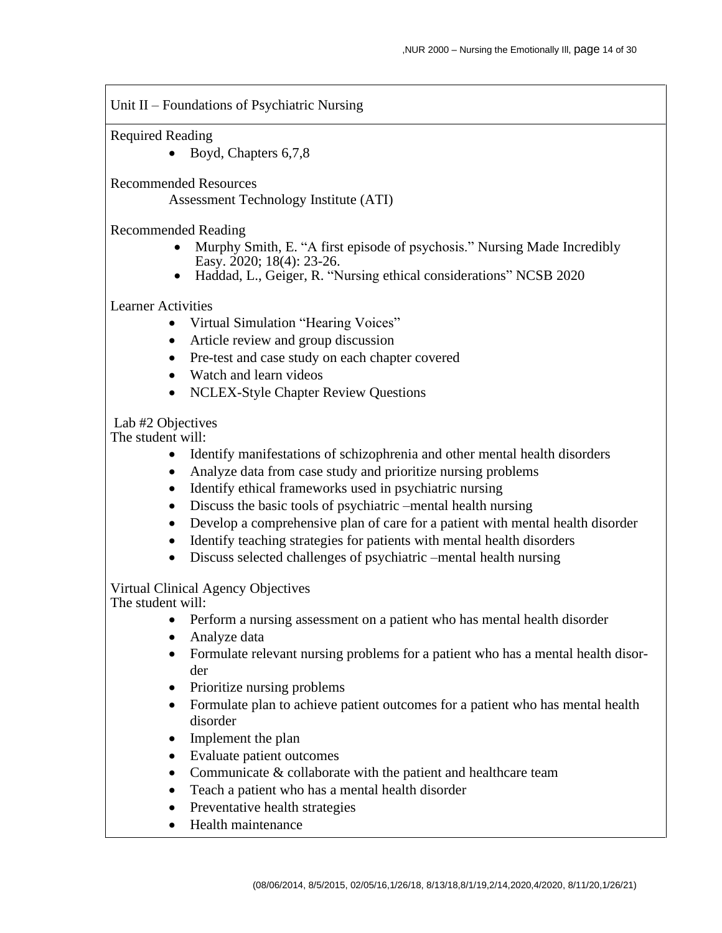Unit II – Foundations of Psychiatric Nursing

Required Reading

• Boyd, Chapters 6,7,8

Recommended Resources

Assessment Technology Institute (ATI)

Recommended Reading

- Murphy Smith, E. "A first episode of psychosis." Nursing Made Incredibly Easy. 2020; 18(4): 23-26.
- Haddad, L., Geiger, R. "Nursing ethical considerations" NCSB 2020

#### Learner Activities

- Virtual Simulation "Hearing Voices"
- Article review and group discussion
- Pre-test and case study on each chapter covered
- Watch and learn videos
- NCLEX-Style Chapter Review Questions

Lab #2 Objectives

The student will:

- Identify manifestations of schizophrenia and other mental health disorders
- Analyze data from case study and prioritize nursing problems
- Identify ethical frameworks used in psychiatric nursing
- Discuss the basic tools of psychiatric –mental health nursing
- Develop a comprehensive plan of care for a patient with mental health disorder
- Identify teaching strategies for patients with mental health disorders
- Discuss selected challenges of psychiatric –mental health nursing

Virtual Clinical Agency Objectives

- Perform a nursing assessment on a patient who has mental health disorder
- Analyze data
- Formulate relevant nursing problems for a patient who has a mental health disorder
- Prioritize nursing problems
- Formulate plan to achieve patient outcomes for a patient who has mental health disorder
- Implement the plan
- Evaluate patient outcomes
- Communicate & collaborate with the patient and healthcare team
- Teach a patient who has a mental health disorder
- Preventative health strategies
- Health maintenance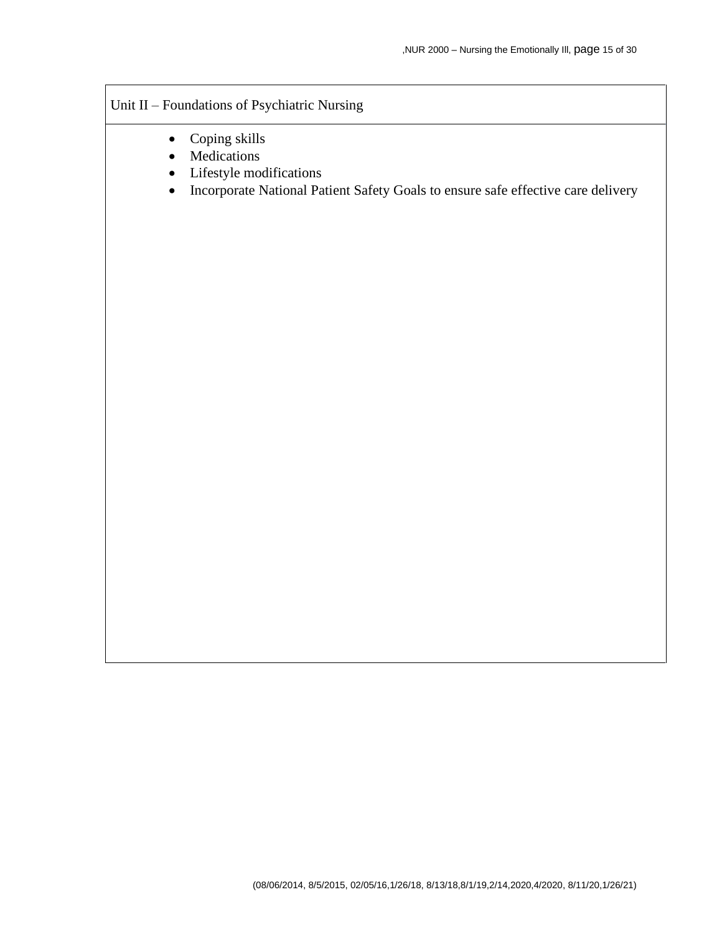# Unit II – Foundations of Psychiatric Nursing

- Coping skills
- Medications
- Lifestyle modifications
- Incorporate National Patient Safety Goals to ensure safe effective care delivery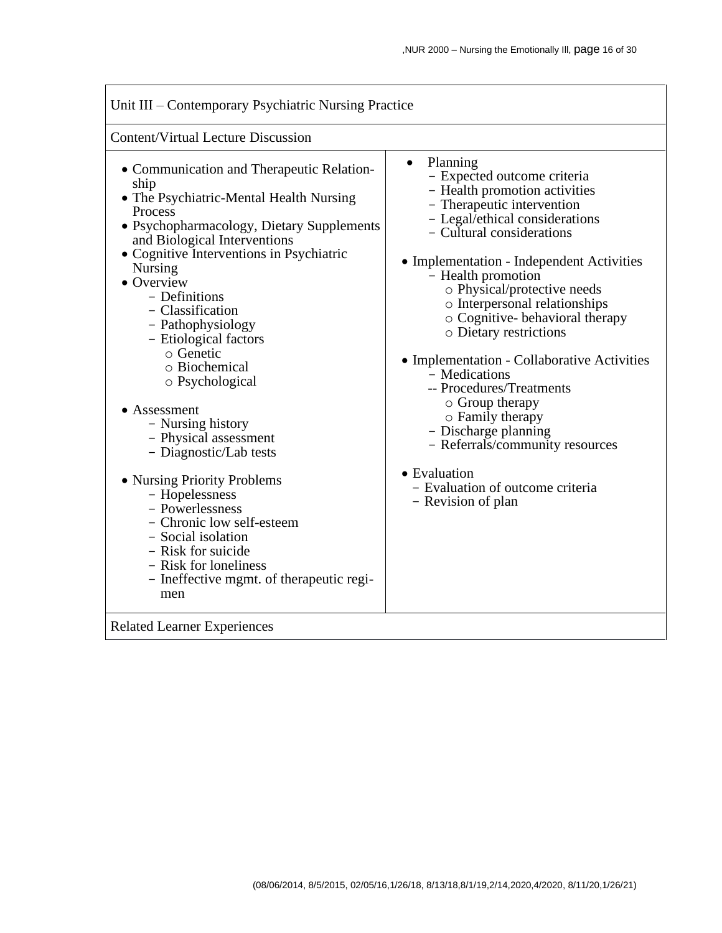| Unit III – Contemporary Psychiatric Nursing Practice                                                                                                                                                                                                                                                                                                                                                                                                                                                                                                                                                                                                                                                                        |                                                                                                                                                                                                                                                                                                                                                                                                                                                                                                                                                                                                                                                                 |  |  |
|-----------------------------------------------------------------------------------------------------------------------------------------------------------------------------------------------------------------------------------------------------------------------------------------------------------------------------------------------------------------------------------------------------------------------------------------------------------------------------------------------------------------------------------------------------------------------------------------------------------------------------------------------------------------------------------------------------------------------------|-----------------------------------------------------------------------------------------------------------------------------------------------------------------------------------------------------------------------------------------------------------------------------------------------------------------------------------------------------------------------------------------------------------------------------------------------------------------------------------------------------------------------------------------------------------------------------------------------------------------------------------------------------------------|--|--|
| <b>Content/Virtual Lecture Discussion</b>                                                                                                                                                                                                                                                                                                                                                                                                                                                                                                                                                                                                                                                                                   |                                                                                                                                                                                                                                                                                                                                                                                                                                                                                                                                                                                                                                                                 |  |  |
| • Communication and Therapeutic Relation-<br>ship<br>• The Psychiatric-Mental Health Nursing<br>Process<br>• Psychopharmacology, Dietary Supplements<br>and Biological Interventions<br>• Cognitive Interventions in Psychiatric<br><b>Nursing</b><br>• Overview<br>- Definitions<br>- Classification<br>- Pathophysiology<br>- Etiological factors<br>$\circ$ Genetic<br>o Biochemical<br>o Psychological<br>• Assessment<br>- Nursing history<br>- Physical assessment<br>- Diagnostic/Lab tests<br>• Nursing Priority Problems<br>- Hopelessness<br>- Powerlessness<br>- Chronic low self-esteem<br>- Social isolation<br>- Risk for suicide<br>- Risk for loneliness<br>- Ineffective mgmt. of therapeutic regi-<br>men | Planning<br>$\bullet$<br>- Expected outcome criteria<br>- Health promotion activities<br>- Therapeutic intervention<br>- Legal/ethical considerations<br>- Cultural considerations<br>• Implementation - Independent Activities<br>- Health promotion<br>o Physical/protective needs<br>o Interpersonal relationships<br>o Cognitive-behavioral therapy<br>o Dietary restrictions<br>• Implementation - Collaborative Activities<br>- Medications<br>-- Procedures/Treatments<br>$\circ$ Group therapy<br>o Family therapy<br>- Discharge planning<br>- Referrals/community resources<br>• Evaluation<br>- Evaluation of outcome criteria<br>- Revision of plan |  |  |
| <b>Related Learner Experiences</b>                                                                                                                                                                                                                                                                                                                                                                                                                                                                                                                                                                                                                                                                                          |                                                                                                                                                                                                                                                                                                                                                                                                                                                                                                                                                                                                                                                                 |  |  |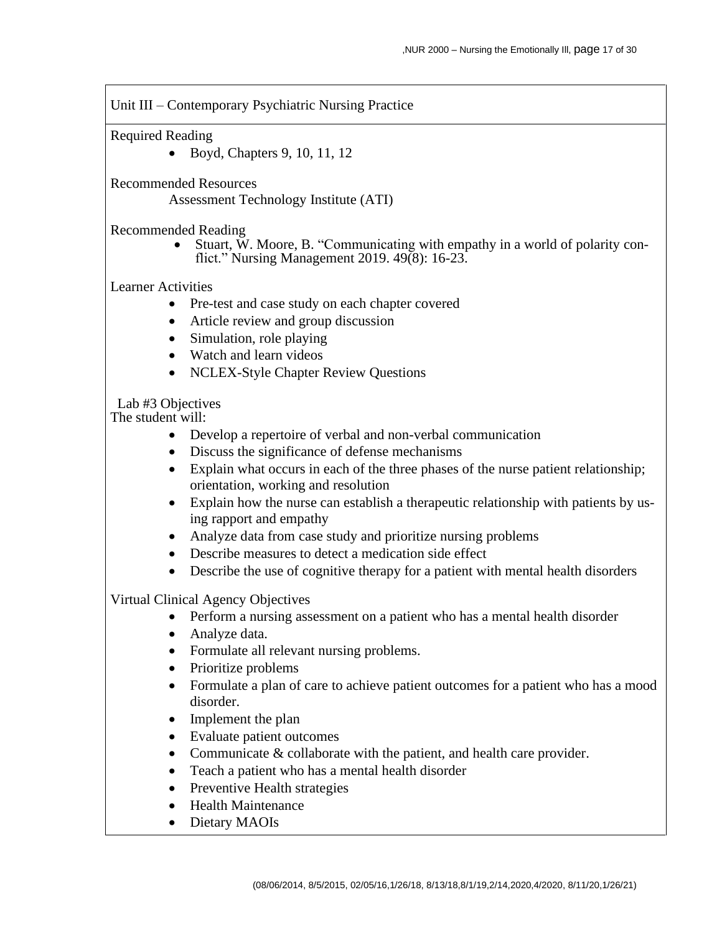Unit III – Contemporary Psychiatric Nursing Practice

Required Reading

• Boyd, Chapters 9, 10, 11, 12

Recommended Resources

Assessment Technology Institute (ATI)

Recommended Reading

• Stuart, W. Moore, B. "Communicating with empathy in a world of polarity conflict." Nursing Management 2019. 49(8): 16-23.

Learner Activities

- Pre-test and case study on each chapter covered
- Article review and group discussion
- Simulation, role playing
- Watch and learn videos
- NCLEX-Style Chapter Review Questions

Lab #3 Objectives

The student will:

- Develop a repertoire of verbal and non-verbal communication
- Discuss the significance of defense mechanisms
- Explain what occurs in each of the three phases of the nurse patient relationship; orientation, working and resolution
- Explain how the nurse can establish a therapeutic relationship with patients by using rapport and empathy
- Analyze data from case study and prioritize nursing problems
- Describe measures to detect a medication side effect
- Describe the use of cognitive therapy for a patient with mental health disorders

Virtual Clinical Agency Objectives

- Perform a nursing assessment on a patient who has a mental health disorder
- Analyze data.
- Formulate all relevant nursing problems.
- Prioritize problems
- Formulate a plan of care to achieve patient outcomes for a patient who has a mood disorder.
- Implement the plan
- Evaluate patient outcomes
- Communicate & collaborate with the patient, and health care provider.
- Teach a patient who has a mental health disorder
- Preventive Health strategies
- Health Maintenance
- Dietary MAOIs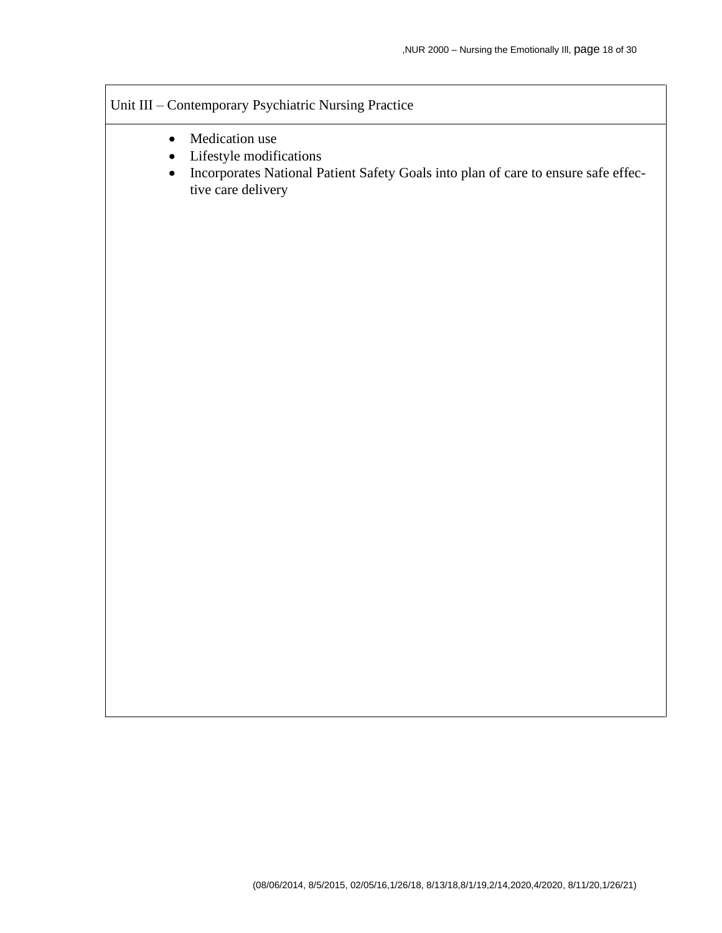# Unit III – Contemporary Psychiatric Nursing Practice

- Medication use
- Lifestyle modifications
- Incorporates National Patient Safety Goals into plan of care to ensure safe effective care delivery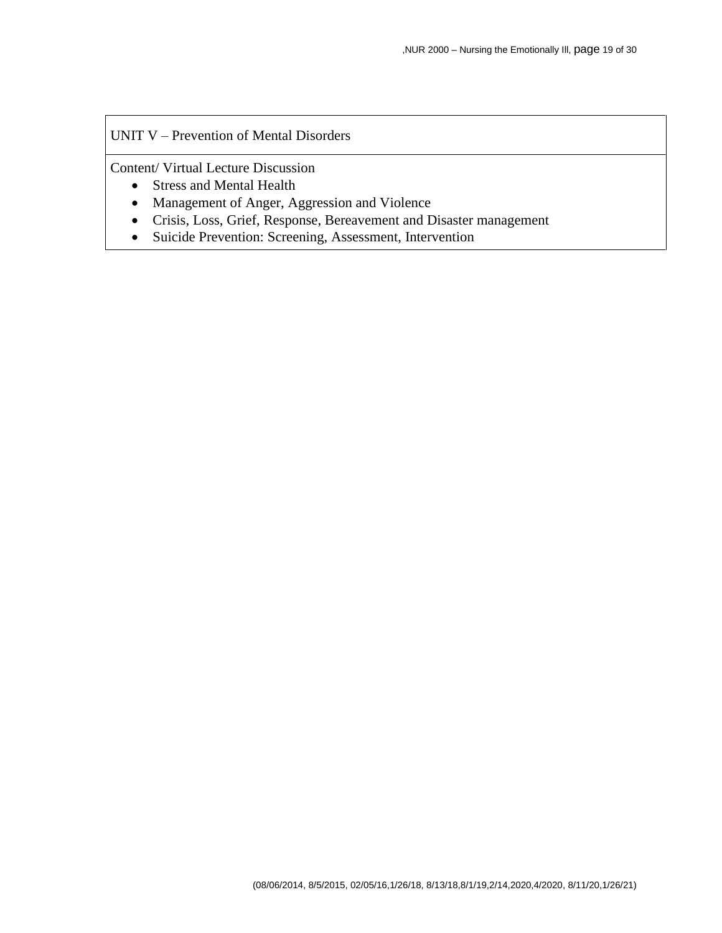#### UNIT V – Prevention of Mental Disorders

Content/ Virtual Lecture Discussion

- Stress and Mental Health
- Management of Anger, Aggression and Violence
- Crisis, Loss, Grief, Response, Bereavement and Disaster management
- Suicide Prevention: Screening, Assessment, Intervention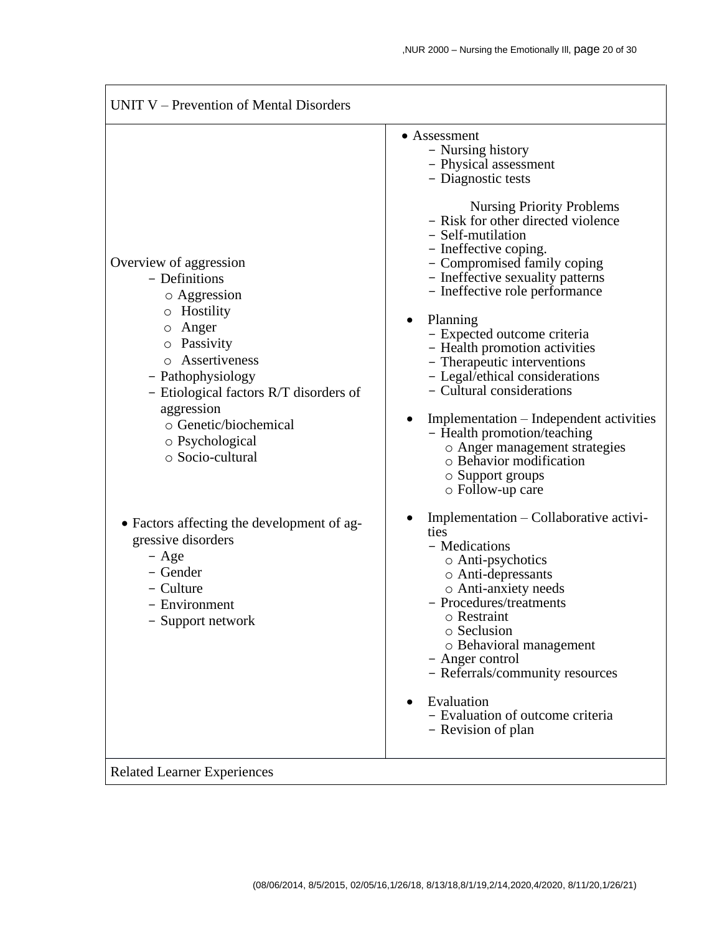| UNIT V – Prevention of Mental Disorders                                                                                                                                                                                                                                                                                                |                                                                                                                                                                                                                                                                                                                                                                                                                                                                                                                                                                                                                                                                                                                             |  |  |
|----------------------------------------------------------------------------------------------------------------------------------------------------------------------------------------------------------------------------------------------------------------------------------------------------------------------------------------|-----------------------------------------------------------------------------------------------------------------------------------------------------------------------------------------------------------------------------------------------------------------------------------------------------------------------------------------------------------------------------------------------------------------------------------------------------------------------------------------------------------------------------------------------------------------------------------------------------------------------------------------------------------------------------------------------------------------------------|--|--|
| Overview of aggression<br>- Definitions<br>o Aggression<br>Hostility<br>O<br>Anger<br>O<br>Passivity<br>$\circ$<br>Assertiveness<br>$\circ$<br>- Pathophysiology<br>- Etiological factors R/T disorders of<br>aggression<br>o Genetic/biochemical<br>o Psychological<br>○ Socio-cultural<br>• Factors affecting the development of ag- | • Assessment<br>- Nursing history<br>- Physical assessment<br>- Diagnostic tests<br><b>Nursing Priority Problems</b><br>- Risk for other directed violence<br>- Self-mutilation<br>- Ineffective coping.<br>- Compromised family coping<br>- Ineffective sexuality patterns<br>- Ineffective role performance<br>Planning<br>- Expected outcome criteria<br>- Health promotion activities<br>- Therapeutic interventions<br>- Legal/ethical considerations<br>- Cultural considerations<br>Implementation – Independent activities<br>- Health promotion/teaching<br>o Anger management strategies<br>o Behavior modification<br>$\circ$ Support groups<br>$\circ$ Follow-up care<br>Implementation – Collaborative activi- |  |  |
| gressive disorders<br>$-$ Age<br>- Gender<br>- Culture<br>- Environment<br>- Support network                                                                                                                                                                                                                                           | ties<br>- Medications<br>o Anti-psychotics<br>o Anti-depressants<br>o Anti-anxiety needs<br>- Procedures/treatments<br>o Restraint<br>o Seclusion<br>o Behavioral management<br>- Anger control<br>- Referrals/community resources<br>Evaluation<br>- Evaluation of outcome criteria<br>- Revision of plan                                                                                                                                                                                                                                                                                                                                                                                                                  |  |  |

Related Learner Experiences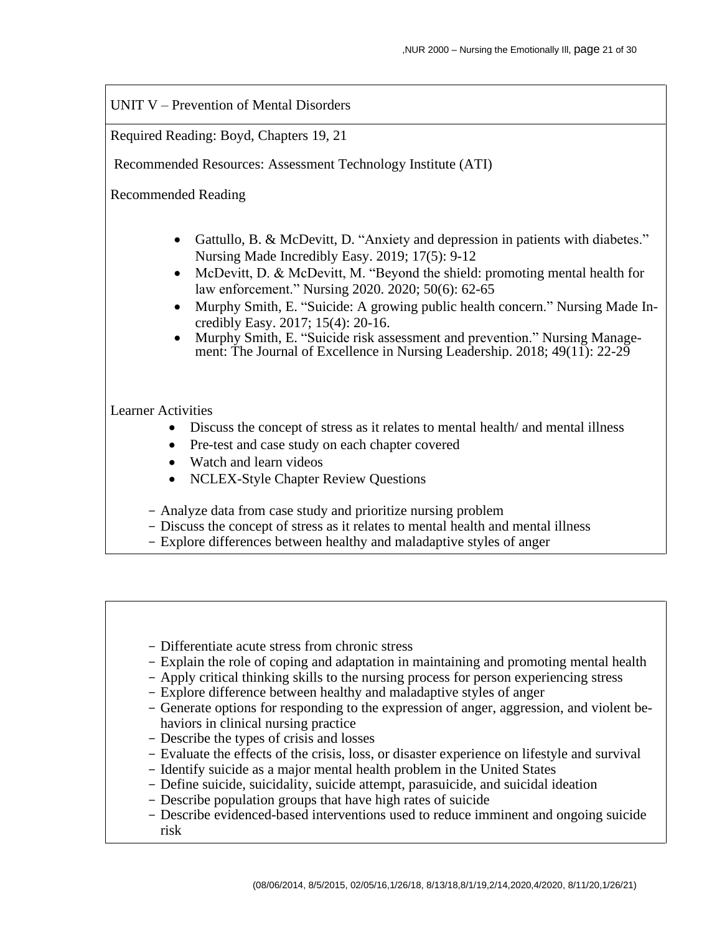UNIT V – Prevention of Mental Disorders

Required Reading: Boyd, Chapters 19, 21

Recommended Resources: Assessment Technology Institute (ATI)

Recommended Reading

- Gattullo, B. & McDevitt, D. "Anxiety and depression in patients with diabetes." Nursing Made Incredibly Easy. 2019; 17(5): 9-12
- McDevitt, D. & McDevitt, M. "Beyond the shield: promoting mental health for law enforcement." Nursing 2020. 2020; 50(6): 62-65
- Murphy Smith, E. "Suicide: A growing public health concern." Nursing Made Incredibly Easy. 2017; 15(4): 20-16.
- Murphy Smith, E. "Suicide risk assessment and prevention." Nursing Management: The Journal of Excellence in Nursing Leadership. 2018; 49(11): 22-29

## Learner Activities

- Discuss the concept of stress as it relates to mental health/ and mental illness
- Pre-test and case study on each chapter covered
- Watch and learn videos
- NCLEX-Style Chapter Review Questions
- Analyze data from case study and prioritize nursing problem
- Discuss the concept of stress as it relates to mental health and mental illness
- Explore differences between healthy and maladaptive styles of anger
- Differentiate acute stress from chronic stress
- Explain the role of coping and adaptation in maintaining and promoting mental health
- Apply critical thinking skills to the nursing process for person experiencing stress
- Explore difference between healthy and maladaptive styles of anger
- Generate options for responding to the expression of anger, aggression, and violent behaviors in clinical nursing practice
- Describe the types of crisis and losses
- Evaluate the effects of the crisis, loss, or disaster experience on lifestyle and survival
- Identify suicide as a major mental health problem in the United States
- Define suicide, suicidality, suicide attempt, parasuicide, and suicidal ideation
- Describe population groups that have high rates of suicide
- Describe evidenced-based interventions used to reduce imminent and ongoing suicide risk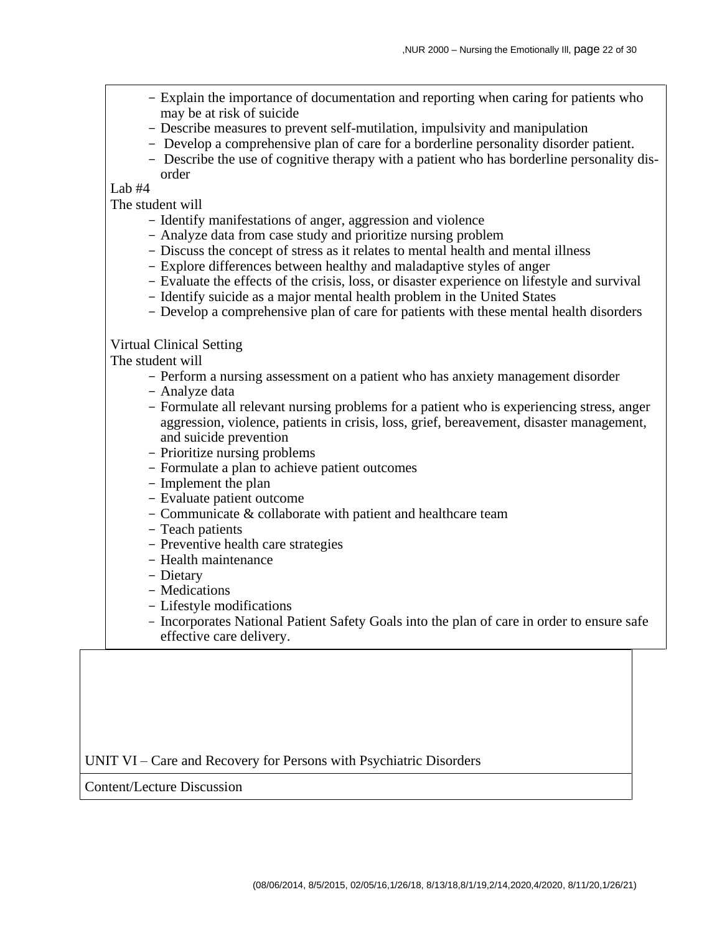- Explain the importance of documentation and reporting when caring for patients who may be at risk of suicide
- Describe measures to prevent self-mutilation, impulsivity and manipulation
- Develop a comprehensive plan of care for a borderline personality disorder patient.
- Describe the use of cognitive therapy with a patient who has borderline personality disorder

Lab #4

The student will

- Identify manifestations of anger, aggression and violence
- Analyze data from case study and prioritize nursing problem
- Discuss the concept of stress as it relates to mental health and mental illness
- Explore differences between healthy and maladaptive styles of anger
- Evaluate the effects of the crisis, loss, or disaster experience on lifestyle and survival
- Identify suicide as a major mental health problem in the United States
- Develop a comprehensive plan of care for patients with these mental health disorders

#### Virtual Clinical Setting

The student will

- Perform a nursing assessment on a patient who has anxiety management disorder
- Analyze data
- Formulate all relevant nursing problems for a patient who is experiencing stress, anger aggression, violence, patients in crisis, loss, grief, bereavement, disaster management, and suicide prevention
- Prioritize nursing problems
- Formulate a plan to achieve patient outcomes
- Implement the plan
- Evaluate patient outcome
- Communicate & collaborate with patient and healthcare team
- Teach patients
- Preventive health care strategies
- Health maintenance
- Dietary
- Medications
- Lifestyle modifications
- Incorporates National Patient Safety Goals into the plan of care in order to ensure safe effective care delivery.

UNIT VI – Care and Recovery for Persons with Psychiatric Disorders

Content/Lecture Discussion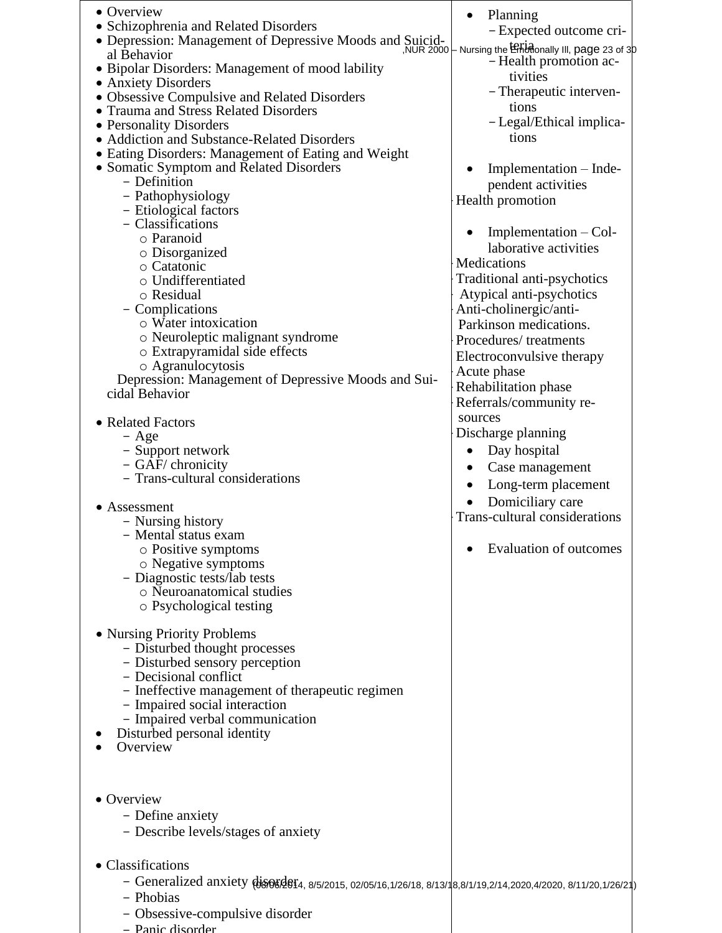| • Overview<br>• Schizophrenia and Related Disorders<br>• Depression: Management of Depressive Moods and Suicid-<br>al Behavior<br>• Bipolar Disorders: Management of mood lability<br>• Anxiety Disorders<br>• Obsessive Compulsive and Related Disorders<br>• Trauma and Stress Related Disorders<br>• Personality Disorders<br>• Addiction and Substance-Related Disorders<br>• Eating Disorders: Management of Eating and Weight<br>• Somatic Symptom and Related Disorders<br>- Definition<br>- Pathophysiology<br>- Etiological factors<br>- Classifications<br>o Paranoid<br>○ Disorganized<br>o Catatonic<br>o Undifferentiated<br>o Residual<br>- Complications<br>o Water intoxication<br>o Neuroleptic malignant syndrome<br>o Extrapyramidal side effects<br>o Agranulocytosis<br>Depression: Management of Depressive Moods and Sui-<br>cidal Behavior<br>• Related Factors<br>$-$ Age<br>- Support network<br>- GAF/ chronicity<br>- Trans-cultural considerations<br>$\bullet$ Assessment<br>- Nursing history<br>- Mental status exam<br>$\circ$ Positive symptoms<br>o Negative symptoms<br>- Diagnostic tests/lab tests<br>o Neuroanatomical studies<br>o Psychological testing<br>• Nursing Priority Problems<br>- Disturbed thought processes<br>- Disturbed sensory perception<br>- Decisional conflict<br>- Ineffective management of therapeutic regimen<br>- Impaired social interaction<br>- Impaired verbal communication<br>Disturbed personal identity<br>Overview | Planning<br>- Expected outcome cri-<br>NUR 2000 - Nursing the Endmonally III, page 23 of 30<br>- Health promotion ac-<br>tivities<br>- Therapeutic interven-<br>tions<br>- Legal/Ethical implica-<br>tions<br>Implementation – Inde-<br>pendent activities<br>Health promotion<br>Implementation $-$ Col-<br>laborative activities<br>Medications<br>Traditional anti-psychotics<br>Atypical anti-psychotics<br>Anti-cholinergic/anti-<br>Parkinson medications.<br>Procedures/treatments<br>Electroconvulsive therapy<br>Acute phase<br>Rehabilitation phase<br>Referrals/community re-<br>sources<br>Discharge planning<br>Day hospital<br>Case management<br>Long-term placement<br>Domiciliary care<br><b>Trans-cultural considerations</b><br><b>Evaluation of outcomes</b> |
|-----------------------------------------------------------------------------------------------------------------------------------------------------------------------------------------------------------------------------------------------------------------------------------------------------------------------------------------------------------------------------------------------------------------------------------------------------------------------------------------------------------------------------------------------------------------------------------------------------------------------------------------------------------------------------------------------------------------------------------------------------------------------------------------------------------------------------------------------------------------------------------------------------------------------------------------------------------------------------------------------------------------------------------------------------------------------------------------------------------------------------------------------------------------------------------------------------------------------------------------------------------------------------------------------------------------------------------------------------------------------------------------------------------------------------------------------------------------------------------------------|----------------------------------------------------------------------------------------------------------------------------------------------------------------------------------------------------------------------------------------------------------------------------------------------------------------------------------------------------------------------------------------------------------------------------------------------------------------------------------------------------------------------------------------------------------------------------------------------------------------------------------------------------------------------------------------------------------------------------------------------------------------------------------|
| • Overview<br>- Define anxiety<br>- Describe levels/stages of anxiety                                                                                                                                                                                                                                                                                                                                                                                                                                                                                                                                                                                                                                                                                                                                                                                                                                                                                                                                                                                                                                                                                                                                                                                                                                                                                                                                                                                                                         |                                                                                                                                                                                                                                                                                                                                                                                                                                                                                                                                                                                                                                                                                                                                                                                  |
| • Classifications<br>- Phobias                                                                                                                                                                                                                                                                                                                                                                                                                                                                                                                                                                                                                                                                                                                                                                                                                                                                                                                                                                                                                                                                                                                                                                                                                                                                                                                                                                                                                                                                |                                                                                                                                                                                                                                                                                                                                                                                                                                                                                                                                                                                                                                                                                                                                                                                  |

- Obsessive-compulsive disorder
- Panic disorder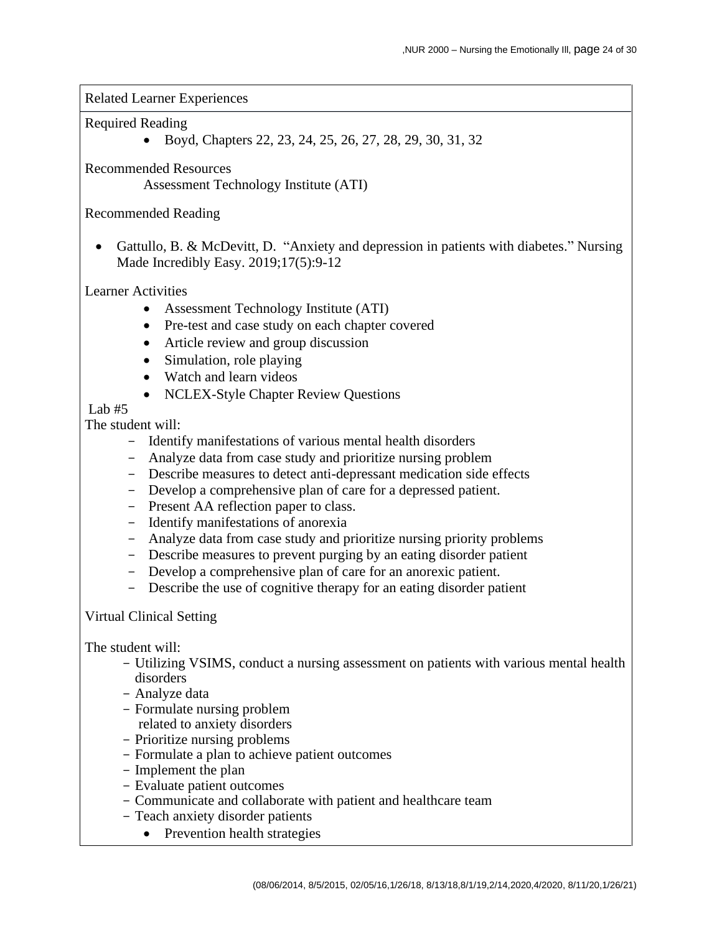Related Learner Experiences

#### Required Reading

• Boyd, Chapters 22, 23, 24, 25, 26, 27, 28, 29, 30, 31, 32

Recommended Resources

Assessment Technology Institute (ATI)

## Recommended Reading

• Gattullo, B. & McDevitt, D. "Anxiety and depression in patients with diabetes." Nursing Made Incredibly Easy. 2019;17(5):9-12

## Learner Activities

- Assessment Technology Institute (ATI)
- Pre-test and case study on each chapter covered
- Article review and group discussion
- Simulation, role playing
- Watch and learn videos
- NCLEX-Style Chapter Review Questions

# Lab  $#5$

The student will:

- Identify manifestations of various mental health disorders
- Analyze data from case study and prioritize nursing problem
- Describe measures to detect anti-depressant medication side effects
- Develop a comprehensive plan of care for a depressed patient.
- Present AA reflection paper to class.
- Identify manifestations of anorexia
- Analyze data from case study and prioritize nursing priority problems
- Describe measures to prevent purging by an eating disorder patient
- Develop a comprehensive plan of care for an anorexic patient.
- Describe the use of cognitive therapy for an eating disorder patient

## Virtual Clinical Setting

- Utilizing VSIMS, conduct a nursing assessment on patients with various mental health disorders
- Analyze data
- Formulate nursing problem related to anxiety disorders
- Prioritize nursing problems
- Formulate a plan to achieve patient outcomes
- Implement the plan
- Evaluate patient outcomes
- Communicate and collaborate with patient and healthcare team
- Teach anxiety disorder patients
	- Prevention health strategies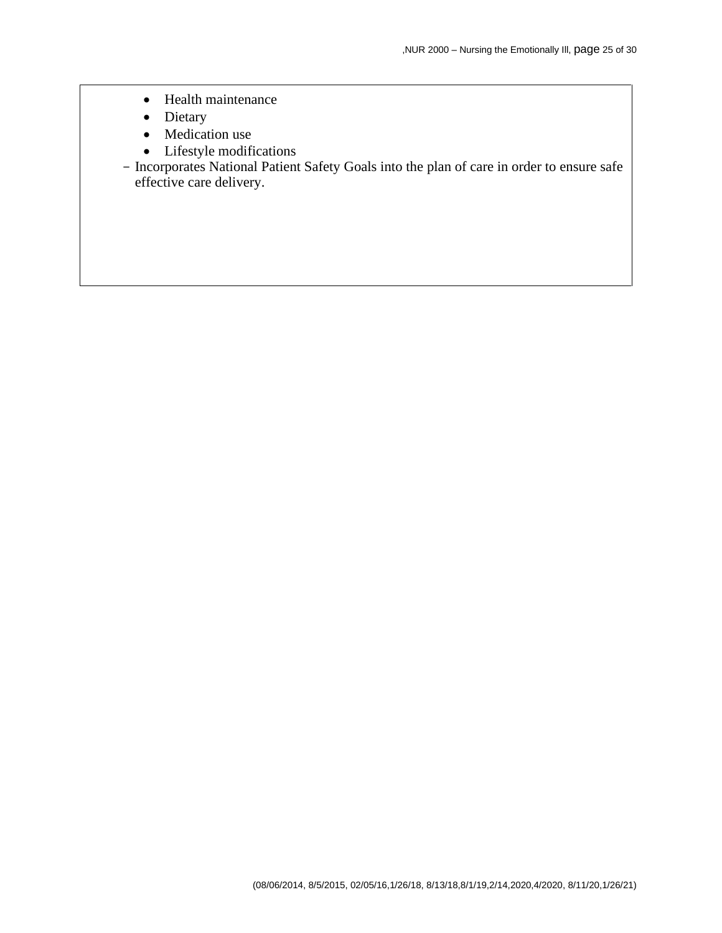- Health maintenance
- Dietary
- Medication use
- Lifestyle modifications
- Incorporates National Patient Safety Goals into the plan of care in order to ensure safe effective care delivery.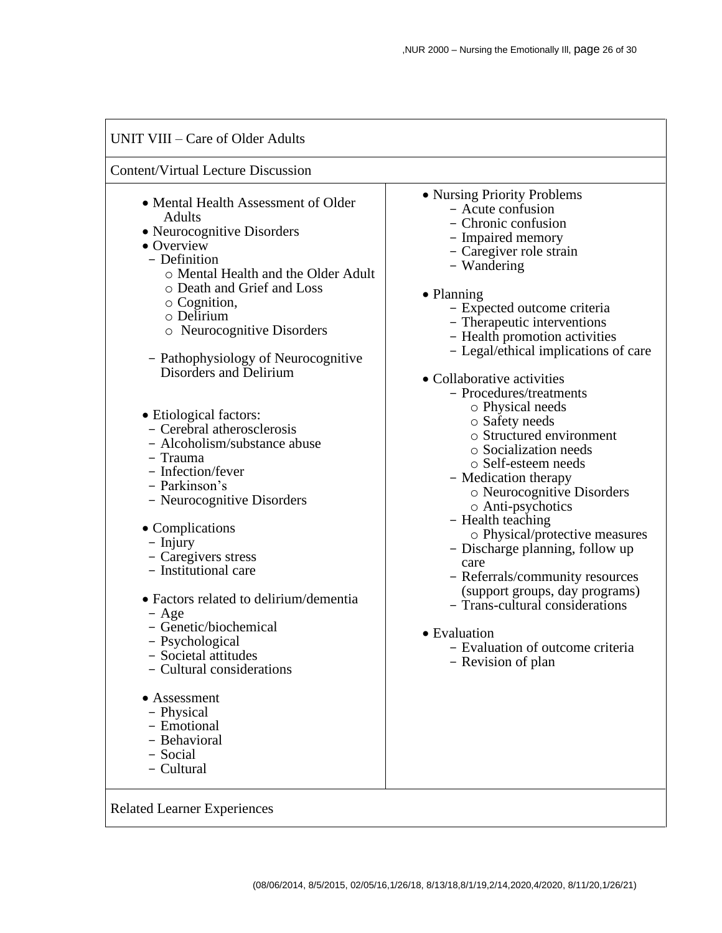#### UNIT VIII – Care of Older Adults Content/Virtual Lecture Discussion • Mental Health Assessment of Older Adults • Neurocognitive Disorders • Overview - Definition o Mental Health and the Older Adult o Death and Grief and Loss o Cognition, o Delirium o Neurocognitive Disorders - Pathophysiology of Neurocognitive Disorders and Delirium • Etiological factors: - Cerebral atherosclerosis - Alcoholism/substance abuse - Trauma - Infection/fever - Parkinson's - Neurocognitive Disorders • Complications - Injury - Caregivers stress - Institutional care • Factors related to delirium/dementia - Age - Genetic/biochemical - Psychological - Societal attitudes - Cultural considerations • Assessment - Physical - Emotional - Behavioral - Social - Cultural • Nursing Priority Problems - Acute confusion - Chronic confusion - Impaired memory - Caregiver role strain - Wandering • Planning - Expected outcome criteria - Therapeutic interventions - Health promotion activities - Legal/ethical implications of care • Collaborative activities - Procedures/treatments o Physical needs o Safety needs o Structured environment o Socialization needs o Self-esteem needs - Medication therapy o Neurocognitive Disorders o Anti-psychotics - Health teaching o Physical/protective measures - Discharge planning, follow up care - Referrals/community resources (support groups, day programs) - Trans-cultural considerations • Evaluation - Evaluation of outcome criteria - Revision of plan

Related Learner Experiences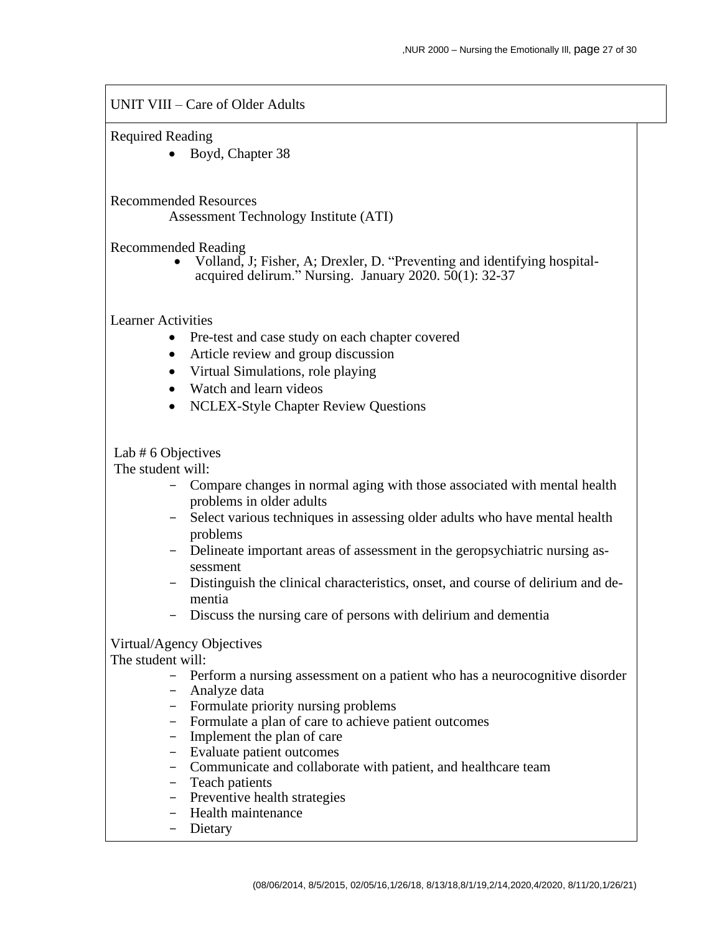UNIT VIII – Care of Older Adults

Required Reading

• Boyd, Chapter 38

Recommended Resources

Assessment Technology Institute (ATI)

Recommended Reading

• Volland, J; Fisher, A; Drexler, D. "Preventing and identifying hospitalacquired delirum." Nursing. January 2020. 50(1): 32-37

Learner Activities

- Pre-test and case study on each chapter covered
- Article review and group discussion
- Virtual Simulations, role playing
- Watch and learn videos
- NCLEX-Style Chapter Review Questions

Lab # 6 Objectives

The student will:

- Compare changes in normal aging with those associated with mental health problems in older adults
- Select various techniques in assessing older adults who have mental health problems
- Delineate important areas of assessment in the geropsychiatric nursing assessment
- Distinguish the clinical characteristics, onset, and course of delirium and dementia
- Discuss the nursing care of persons with delirium and dementia

Virtual/Agency Objectives

- Perform a nursing assessment on a patient who has a neurocognitive disorder
- Analyze data
- Formulate priority nursing problems
- Formulate a plan of care to achieve patient outcomes
- Implement the plan of care
- Evaluate patient outcomes
- Communicate and collaborate with patient, and healthcare team
- Teach patients
- Preventive health strategies
- Health maintenance
- Dietary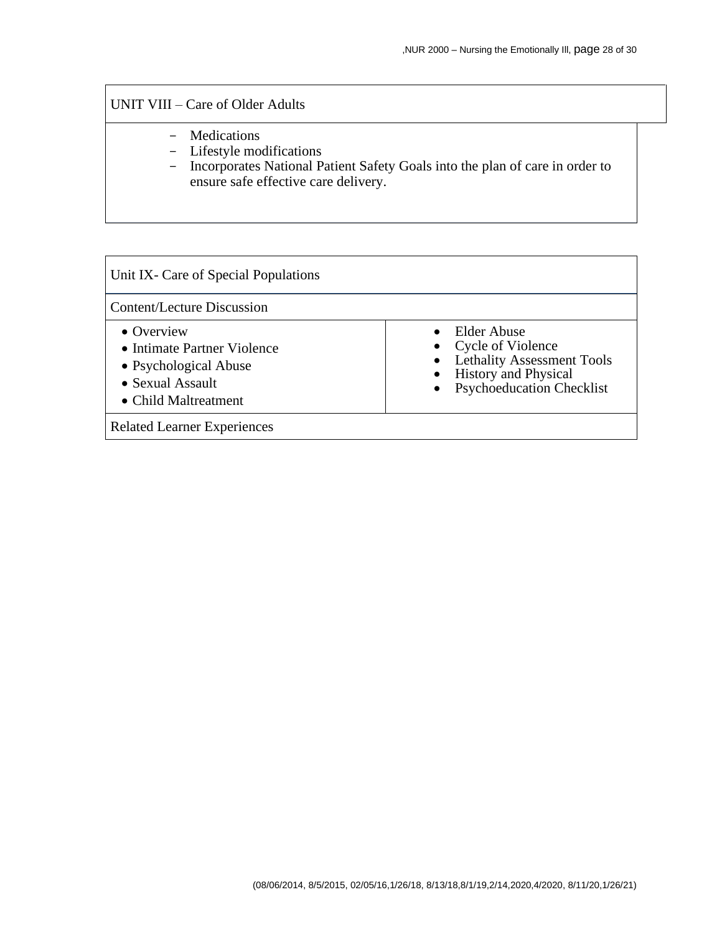## UNIT VIII – Care of Older Adults

- Medications
- Lifestyle modifications
- Incorporates National Patient Safety Goals into the plan of care in order to ensure safe effective care delivery.

| Unit IX- Care of Special Populations                                                                                   |                                                                                                                                            |
|------------------------------------------------------------------------------------------------------------------------|--------------------------------------------------------------------------------------------------------------------------------------------|
| Content/Lecture Discussion                                                                                             |                                                                                                                                            |
| $\bullet$ Overview<br>• Intimate Partner Violence<br>• Psychological Abuse<br>• Sexual Assault<br>• Child Maltreatment | $\bullet$ Elder Abuse<br>• Cycle of Violence<br>• Lethality Assessment Tools<br><b>History</b> and Physical<br>• Psychoeducation Checklist |
| <b>Related Learner Experiences</b>                                                                                     |                                                                                                                                            |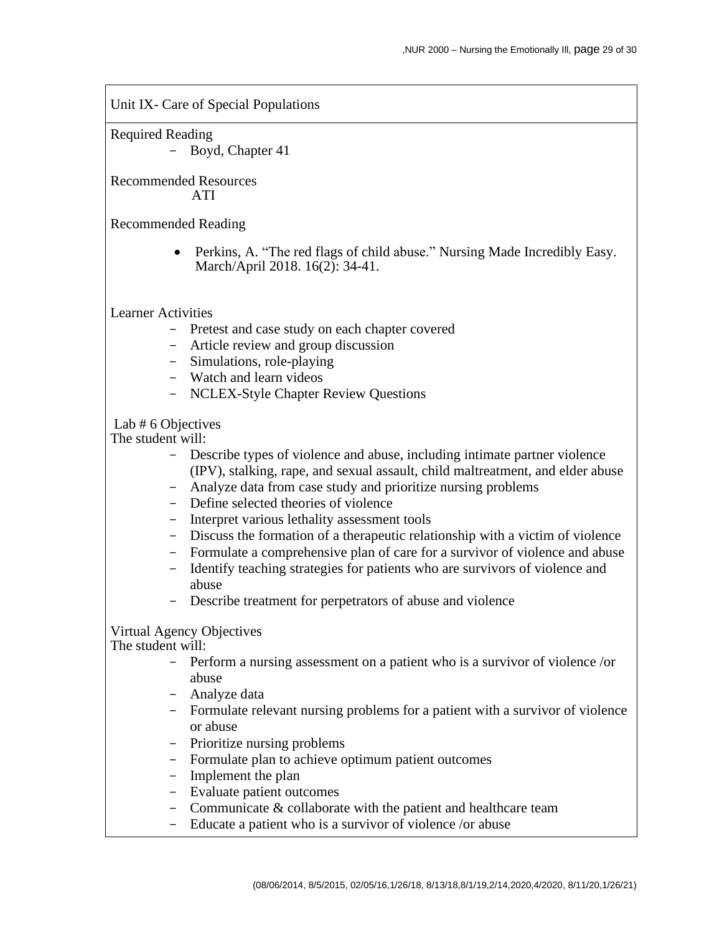Unit IX- Care of Special Populations

Required Reading

- Boyd, Chapter 41

Recommended Resources ATI

Recommended Reading

• Perkins, A. "The red flags of child abuse." Nursing Made Incredibly Easy. March/April 2018. 16(2): 34-41.

Learner Activities

- Pretest and case study on each chapter covered
- Article review and group discussion
- Simulations, role-playing
- Watch and learn videos
- NCLEX-Style Chapter Review Questions

Lab # 6 Objectives

The student will:

- Describe types of violence and abuse, including intimate partner violence (IPV), stalking, rape, and sexual assault, child maltreatment, and elder abuse
- Analyze data from case study and prioritize nursing problems
- Define selected theories of violence
- Interpret various lethality assessment tools
- Discuss the formation of a therapeutic relationship with a victim of violence
- Formulate a comprehensive plan of care for a survivor of violence and abuse
- Identify teaching strategies for patients who are survivors of violence and abuse
- Describe treatment for perpetrators of abuse and violence

#### Virtual Agency Objectives

- Perform a nursing assessment on a patient who is a survivor of violence /or abuse
- Analyze data
- Formulate relevant nursing problems for a patient with a survivor of violence or abuse
- Prioritize nursing problems
- Formulate plan to achieve optimum patient outcomes
- Implement the plan
- Evaluate patient outcomes
- Communicate & collaborate with the patient and healthcare team
- Educate a patient who is a survivor of violence /or abuse